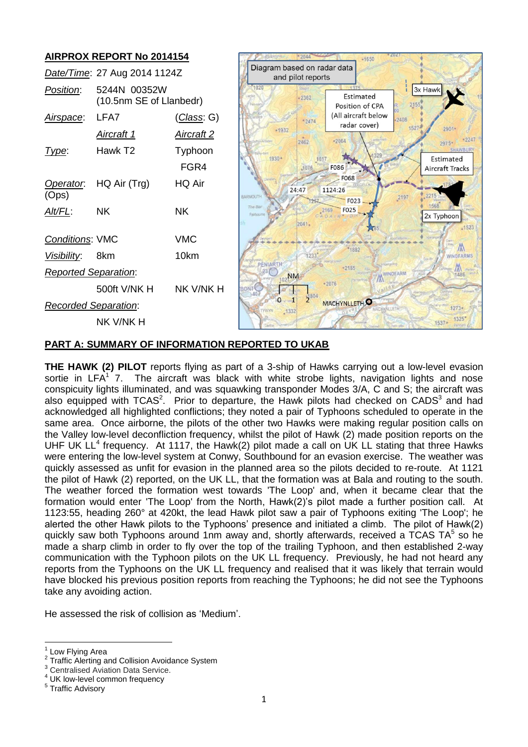

# **PART A: SUMMARY OF INFORMATION REPORTED TO UKAB**

**THE HAWK (2) PILOT** reports flying as part of a 3-ship of Hawks carrying out a low-level evasion sortie in LFA<sup>1</sup> 7. The aircraft was black with white strobe lights, navigation lights and nose conspicuity lights illuminated, and was squawking transponder Modes 3/A, C and S; the aircraft was also equipped with TCAS<sup>2</sup>. Prior to departure, the Hawk pilots had checked on CADS<sup>3</sup> and had acknowledged all highlighted conflictions; they noted a pair of Typhoons scheduled to operate in the same area. Once airborne, the pilots of the other two Hawks were making regular position calls on the Valley low-level deconfliction frequency, whilst the pilot of Hawk (2) made position reports on the UHF UK  $LL^4$  frequency. At 1117, the Hawk(2) pilot made a call on UK LL stating that three Hawks were entering the low-level system at Conwy, Southbound for an evasion exercise. The weather was quickly assessed as unfit for evasion in the planned area so the pilots decided to re-route. At 1121 the pilot of Hawk (2) reported, on the UK LL, that the formation was at Bala and routing to the south. The weather forced the formation west towards 'The Loop' and, when it became clear that the formation would enter 'The Loop' from the North, Hawk(2)'s pilot made a further position call. At 1123:55, heading 260° at 420kt, the lead Hawk pilot saw a pair of Typhoons exiting 'The Loop'; he alerted the other Hawk pilots to the Typhoons' presence and initiated a climb. The pilot of Hawk(2) quickly saw both Typhoons around 1nm away and, shortly afterwards, received a TCAS TA $<sup>5</sup>$  so he</sup> made a sharp climb in order to fly over the top of the trailing Typhoon, and then established 2-way communication with the Typhoon pilots on the UK LL frequency. Previously, he had not heard any reports from the Typhoons on the UK LL frequency and realised that it was likely that terrain would have blocked his previous position reports from reaching the Typhoons; he did not see the Typhoons take any avoiding action.

He assessed the risk of collision as 'Medium'.

 $\overline{a}$ 1 Low Flying Area

<sup>2</sup> <sup>2</sup> Traffic Alerting and Collision Avoidance System  $\frac{3}{2}$  Contralized Aviation Retail Consider

Centralised Aviation Data Service.

<sup>&</sup>lt;sup>4</sup> UK low-level common frequency

Traffic Advisory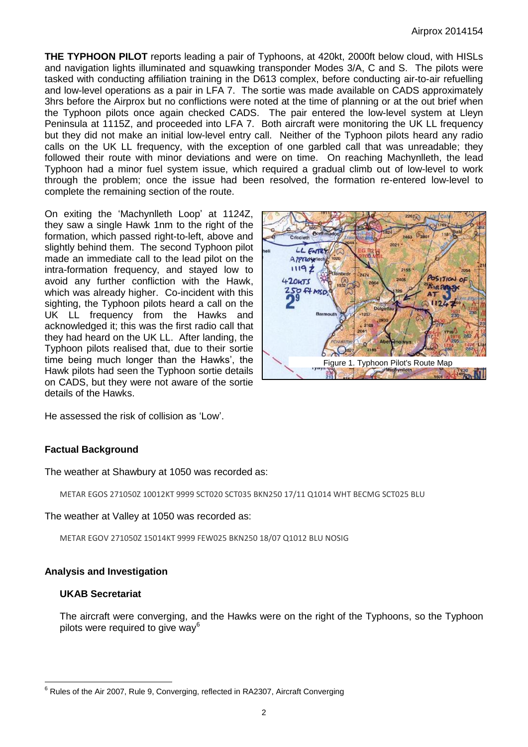**THE TYPHOON PILOT** reports leading a pair of Typhoons, at 420kt, 2000ft below cloud, with HISLs and navigation lights illuminated and squawking transponder Modes 3/A, C and S. The pilots were tasked with conducting affiliation training in the D613 complex, before conducting air-to-air refuelling and low-level operations as a pair in LFA 7. The sortie was made available on CADS approximately 3hrs before the Airprox but no conflictions were noted at the time of planning or at the out brief when the Typhoon pilots once again checked CADS. The pair entered the low-level system at Lleyn Peninsula at 1115Z, and proceeded into LFA 7. Both aircraft were monitoring the UK LL frequency but they did not make an initial low-level entry call. Neither of the Typhoon pilots heard any radio calls on the UK LL frequency, with the exception of one garbled call that was unreadable; they followed their route with minor deviations and were on time. On reaching Machynlleth, the lead Typhoon had a minor fuel system issue, which required a gradual climb out of low-level to work through the problem; once the issue had been resolved, the formation re-entered low-level to complete the remaining section of the route.

On exiting the 'Machynlleth Loop' at 1124Z, they saw a single Hawk 1nm to the right of the formation, which passed right-to-left, above and slightly behind them. The second Typhoon pilot made an immediate call to the lead pilot on the intra-formation frequency, and stayed low to avoid any further confliction with the Hawk, which was already higher. Co-incident with this sighting, the Typhoon pilots heard a call on the UK LL frequency from the Hawks and acknowledged it; this was the first radio call that they had heard on the UK LL. After landing, the Typhoon pilots realised that, due to their sortie time being much longer than the Hawks', the Hawk pilots had seen the Typhoon sortie details on CADS, but they were not aware of the sortie details of the Hawks.



He assessed the risk of collision as 'Low'.

## **Factual Background**

The weather at Shawbury at 1050 was recorded as:

METAR EGOS 271050Z 10012KT 9999 SCT020 SCT035 BKN250 17/11 Q1014 WHT BECMG SCT025 BLU

The weather at Valley at 1050 was recorded as:

METAR EGOV 271050Z 15014KT 9999 FEW025 BKN250 18/07 Q1012 BLU NOSIG

### **Analysis and Investigation**

### **UKAB Secretariat**

 $\overline{a}$ 

The aircraft were converging, and the Hawks were on the right of the Typhoons, so the Typhoon pilots were required to give way<sup>6</sup>

 $^6$  Rules of the Air 2007, Rule 9, Converging, reflected in RA2307, Aircraft Converging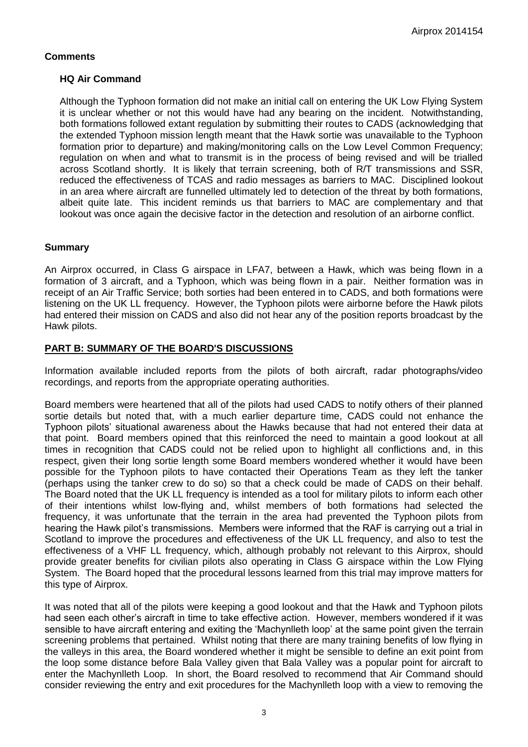# **Comments**

# **HQ Air Command**

Although the Typhoon formation did not make an initial call on entering the UK Low Flying System it is unclear whether or not this would have had any bearing on the incident. Notwithstanding, both formations followed extant regulation by submitting their routes to CADS (acknowledging that the extended Typhoon mission length meant that the Hawk sortie was unavailable to the Typhoon formation prior to departure) and making/monitoring calls on the Low Level Common Frequency; regulation on when and what to transmit is in the process of being revised and will be trialled across Scotland shortly. It is likely that terrain screening, both of R/T transmissions and SSR, reduced the effectiveness of TCAS and radio messages as barriers to MAC. Disciplined lookout in an area where aircraft are funnelled ultimately led to detection of the threat by both formations, albeit quite late. This incident reminds us that barriers to MAC are complementary and that lookout was once again the decisive factor in the detection and resolution of an airborne conflict.

# **Summary**

An Airprox occurred, in Class G airspace in LFA7, between a Hawk, which was being flown in a formation of 3 aircraft, and a Typhoon, which was being flown in a pair. Neither formation was in receipt of an Air Traffic Service; both sorties had been entered in to CADS, and both formations were listening on the UK LL frequency. However, the Typhoon pilots were airborne before the Hawk pilots had entered their mission on CADS and also did not hear any of the position reports broadcast by the Hawk pilots.

## **PART B: SUMMARY OF THE BOARD'S DISCUSSIONS**

Information available included reports from the pilots of both aircraft, radar photographs/video recordings, and reports from the appropriate operating authorities.

Board members were heartened that all of the pilots had used CADS to notify others of their planned sortie details but noted that, with a much earlier departure time, CADS could not enhance the Typhoon pilots' situational awareness about the Hawks because that had not entered their data at that point. Board members opined that this reinforced the need to maintain a good lookout at all times in recognition that CADS could not be relied upon to highlight all conflictions and, in this respect, given their long sortie length some Board members wondered whether it would have been possible for the Typhoon pilots to have contacted their Operations Team as they left the tanker (perhaps using the tanker crew to do so) so that a check could be made of CADS on their behalf. The Board noted that the UK LL frequency is intended as a tool for military pilots to inform each other of their intentions whilst low-flying and, whilst members of both formations had selected the frequency, it was unfortunate that the terrain in the area had prevented the Typhoon pilots from hearing the Hawk pilot's transmissions. Members were informed that the RAF is carrying out a trial in Scotland to improve the procedures and effectiveness of the UK LL frequency, and also to test the effectiveness of a VHF LL frequency, which, although probably not relevant to this Airprox, should provide greater benefits for civilian pilots also operating in Class G airspace within the Low Flying System. The Board hoped that the procedural lessons learned from this trial may improve matters for this type of Airprox.

It was noted that all of the pilots were keeping a good lookout and that the Hawk and Typhoon pilots had seen each other's aircraft in time to take effective action. However, members wondered if it was sensible to have aircraft entering and exiting the 'Machynlleth loop' at the same point given the terrain screening problems that pertained. Whilst noting that there are many training benefits of low flying in the valleys in this area, the Board wondered whether it might be sensible to define an exit point from the loop some distance before Bala Valley given that Bala Valley was a popular point for aircraft to enter the Machynlleth Loop. In short, the Board resolved to recommend that Air Command should consider reviewing the entry and exit procedures for the Machynlleth loop with a view to removing the